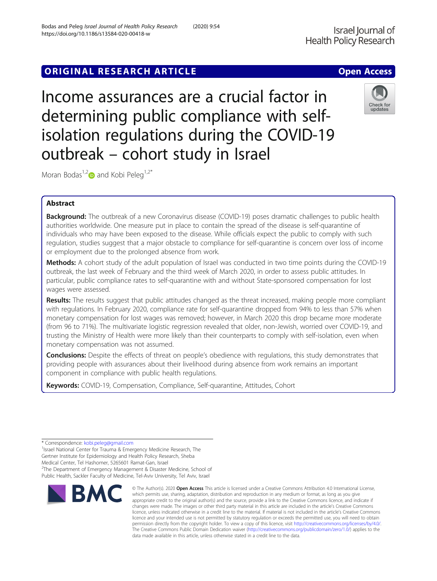# ORIGINAL RESEARCH ARTICLE **External of the Contract Contract Contract Contract Contract Contract Contract Contract Contract Contract Contract Contract Contract Contract Contract Contract Contract Contract Contract Contract**

Income assurances are a crucial factor in determining public compliance with selfisolation regulations during the COVID-19 outbreak – cohort study in Israel

Moran Bodas<sup>1,[2](http://orcid.org/0000-0002-6182-6362)</sup> $\bullet$  and Kobi Peleg<sup>1,2\*</sup>

### Abstract

**Background:** The outbreak of a new Coronavirus disease (COVID-19) poses dramatic challenges to public health authorities worldwide. One measure put in place to contain the spread of the disease is self-quarantine of individuals who may have been exposed to the disease. While officials expect the public to comply with such regulation, studies suggest that a major obstacle to compliance for self-quarantine is concern over loss of income or employment due to the prolonged absence from work.

Methods: A cohort study of the adult population of Israel was conducted in two time points during the COVID-19 outbreak, the last week of February and the third week of March 2020, in order to assess public attitudes. In particular, public compliance rates to self-quarantine with and without State-sponsored compensation for lost wages were assessed.

Results: The results suggest that public attitudes changed as the threat increased, making people more compliant with regulations. In February 2020, compliance rate for self-quarantine dropped from 94% to less than 57% when monetary compensation for lost wages was removed; however, in March 2020 this drop became more moderate (from 96 to 71%). The multivariate logistic regression revealed that older, non-Jewish, worried over COVID-19, and trusting the Ministry of Health were more likely than their counterparts to comply with self-isolation, even when monetary compensation was not assumed.

**Conclusions:** Despite the effects of threat on people's obedience with regulations, this study demonstrates that providing people with assurances about their livelihood during absence from work remains an important component in compliance with public health regulations.

Keywords: COVID-19, Compensation, Compliance, Self-quarantine, Attitudes, Cohort

\* Correspondence: [kobi.peleg@gmail.com](mailto:kobi.peleg@gmail.com) <sup>1</sup>

<sup>1</sup> Israel National Center for Trauma & Emergency Medicine Research, The Gertner Institute for Epidemiology and Health Policy Research, Sheba Medical Center, Tel Hashomer, 5265601 Ramat-Gan, Israel

<sup>2</sup>The Department of Emergency Management & Disaster Medicine, School of Public Health, Sackler Faculty of Medicine, Tel-Aviv University, Tel Aviv, Israel

which permits use, sharing, adaptation, distribution and reproduction in any medium or format, as long as you give appropriate credit to the original author(s) and the source, provide a link to the Creative Commons licence, and indicate if changes were made. The images or other third party material in this article are included in the article's Creative Commons licence, unless indicated otherwise in a credit line to the material. If material is not included in the article's Creative Commons licence and your intended use is not permitted by statutory regulation or exceeds the permitted use, you will need to obtain permission directly from the copyright holder. To view a copy of this licence, visit [http://creativecommons.org/licenses/by/4.0/.](http://creativecommons.org/licenses/by/4.0/) The Creative Commons Public Domain Dedication waiver [\(http://creativecommons.org/publicdomain/zero/1.0/](http://creativecommons.org/publicdomain/zero/1.0/)) applies to the data made available in this article, unless otherwise stated in a credit line to the data.

© The Author(s), 2020 **Open Access** This article is licensed under a Creative Commons Attribution 4.0 International License,



Israel Journal of

**Health Policy Research**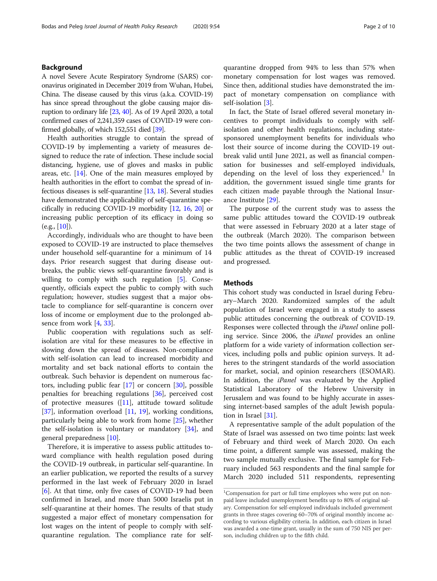### Background

A novel Severe Acute Respiratory Syndrome (SARS) coronavirus originated in December 2019 from Wuhan, Hubei, China. The disease caused by this virus (a.k.a. COVID-19) has since spread throughout the globe causing major disruption to ordinary life [\[23,](#page-8-0) [40](#page-9-0)]. As of 19 April 2020, a total confirmed cases of 2,241,359 cases of COVID-19 were confirmed globally, of which 152,551 died [\[39\]](#page-9-0).

Health authorities struggle to contain the spread of COVID-19 by implementing a variety of measures designed to reduce the rate of infection. These include social distancing, hygiene, use of gloves and masks in public areas, etc.  $[14]$ . One of the main measures employed by health authorities in the effort to combat the spread of infectious diseases is self-quarantine [[13](#page-8-0), [18\]](#page-8-0). Several studies have demonstrated the applicability of self-quarantine specifically in reducing COVID-19 morbidity [\[12](#page-8-0), [16,](#page-8-0) [20](#page-8-0)] or increasing public perception of its efficacy in doing so  $(e.g., [10]).$  $(e.g., [10]).$  $(e.g., [10]).$ 

Accordingly, individuals who are thought to have been exposed to COVID-19 are instructed to place themselves under household self-quarantine for a minimum of 14 days. Prior research suggest that during disease outbreaks, the public views self-quarantine favorably and is willing to comply with such regulation [[5](#page-8-0)]. Consequently, officials expect the public to comply with such regulation; however, studies suggest that a major obstacle to compliance for self-quarantine is concern over loss of income or employment due to the prolonged absence from work [\[4](#page-8-0), [33](#page-8-0)].

Public cooperation with regulations such as selfisolation are vital for these measures to be effective in slowing down the spread of diseases. Non-compliance with self-isolation can lead to increased morbidity and mortality and set back national efforts to contain the outbreak. Such behavior is dependent on numerous factors, including public fear [[17\]](#page-8-0) or concern [\[30](#page-8-0)], possible penalties for breaching regulations [[36\]](#page-8-0), perceived cost of protective measures ([[11](#page-8-0)], attitude toward solitude [[37\]](#page-8-0), information overload [\[11](#page-8-0), [19](#page-8-0)], working conditions, particularly being able to work from home [\[25\]](#page-8-0), whether the self-isolation is voluntary or mandatory [[34\]](#page-8-0), and general preparedness [[10\]](#page-8-0).

Therefore, it is imperative to assess public attitudes toward compliance with health regulation posed during the COVID-19 outbreak, in particular self-quarantine. In an earlier publication, we reported the results of a survey performed in the last week of February 2020 in Israel [[6\]](#page-8-0). At that time, only five cases of COVID-19 had been confirmed in Israel, and more than 5000 Israelis put in self-quarantine at their homes. The results of that study suggested a major effect of monetary compensation for lost wages on the intent of people to comply with selfquarantine regulation. The compliance rate for selfquarantine dropped from 94% to less than 57% when monetary compensation for lost wages was removed. Since then, additional studies have demonstrated the impact of monetary compensation on compliance with self-isolation [[3\]](#page-8-0).

In fact, the State of Israel offered several monetary incentives to prompt individuals to comply with selfisolation and other health regulations, including statesponsored unemployment benefits for individuals who lost their source of income during the COVID-19 outbreak valid until June 2021, as well as financial compensation for businesses and self-employed individuals, depending on the level of loss they experienced.<sup>1</sup> In addition, the government issued single time grants for each citizen made payable through the National Insurance Institute [[29](#page-8-0)].

The purpose of the current study was to assess the same public attitudes toward the COVID-19 outbreak that were assessed in February 2020 at a later stage of the outbreak (March 2020). The comparison between the two time points allows the assessment of change in public attitudes as the threat of COVID-19 increased and progressed.

### Methods

This cohort study was conducted in Israel during February–March 2020. Randomized samples of the adult population of Israel were engaged in a study to assess public attitudes concerning the outbreak of COVID-19. Responses were collected through the iPanel online polling service. Since 2006, the iPanel provides an online platform for a wide variety of information collection services, including polls and public opinion surveys. It adheres to the stringent standards of the world association for market, social, and opinion researchers (ESOMAR). In addition, the *iPanel* was evaluated by the Applied Statistical Laboratory of the Hebrew University in Jerusalem and was found to be highly accurate in assessing internet-based samples of the adult Jewish population in Israel [\[31\]](#page-8-0).

A representative sample of the adult population of the State of Israel was assessed on two time points: last week of February and third week of March 2020. On each time point, a different sample was assessed, making the two sample mutually exclusive. The final sample for February included 563 respondents and the final sample for March 2020 included 511 respondents, representing

<sup>&</sup>lt;sup>1</sup>Compensation for part or full time employees who were put on nonpaid leave included unemployment benefits up to 80% of original salary. Compensation for self-employed individuals included government grants in three stages covering 60–70% of original monthly income according to various eligibility criteria. In addition, each citizen in Israel was awarded a one-time grant, usually in the sum of 750 NIS per person, including children up to the fifth child.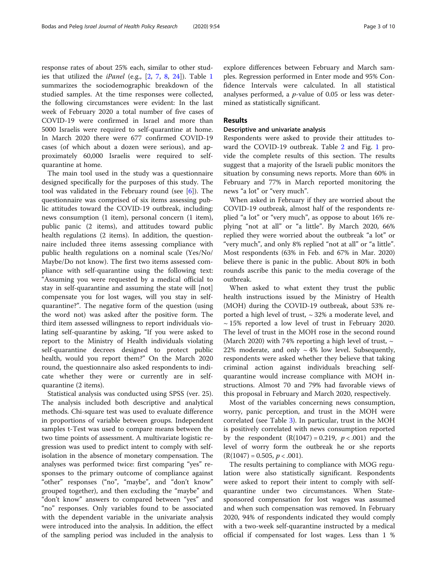response rates of about 25% each, similar to other studies that utilized the *iPanel* (e.g.,  $[2, 7, 8, 24]$  $[2, 7, 8, 24]$  $[2, 7, 8, 24]$  $[2, 7, 8, 24]$  $[2, 7, 8, 24]$  $[2, 7, 8, 24]$  $[2, 7, 8, 24]$  $[2, 7, 8, 24]$  $[2, 7, 8, 24]$ ). Table [1](#page-3-0) summarizes the sociodemographic breakdown of the studied samples. At the time responses were collected, the following circumstances were evident: In the last week of February 2020 a total number of five cases of COVID-19 were confirmed in Israel and more than 5000 Israelis were required to self-quarantine at home. In March 2020 there were 677 confirmed COVID-19 cases (of which about a dozen were serious), and approximately 60,000 Israelis were required to selfquarantine at home.

The main tool used in the study was a questionnaire designed specifically for the purposes of this study. The tool was validated in the February round (see  $[6]$  $[6]$ ). The questionnaire was comprised of six items assessing public attitudes toward the COVID-19 outbreak, including: news consumption (1 item), personal concern (1 item), public panic (2 items), and attitudes toward public health regulations (2 items). In addition, the questionnaire included three items assessing compliance with public health regulations on a nominal scale (Yes/No/ Maybe/Do not know). The first two items assessed compliance with self-quarantine using the following text: "Assuming you were requested by a medical official to stay in self-quarantine and assuming the state will [not] compensate you for lost wages, will you stay in selfquarantine?". The negative form of the question (using the word not) was asked after the positive form. The third item assessed willingness to report individuals violating self-quarantine by asking, "If you were asked to report to the Ministry of Health individuals violating self-quarantine decrees designed to protect public health, would you report them?" On the March 2020 round, the questionnaire also asked respondents to indicate whether they were or currently are in selfquarantine (2 items).

Statistical analysis was conducted using SPSS (ver. 25). The analysis included both descriptive and analytical methods. Chi-square test was used to evaluate difference in proportions of variable between groups. Independent samples t-Test was used to compare means between the two time points of assessment. A multivariate logistic regression was used to predict intent to comply with selfisolation in the absence of monetary compensation. The analyses was performed twice: first comparing "yes" responses to the primary outcome of compliance against "other" responses ("no", "maybe", and "don't know" grouped together), and then excluding the "maybe" and "don't know" answers to compared between "yes" and "no" responses. Only variables found to be associated with the dependent variable in the univariate analysis were introduced into the analysis. In addition, the effect of the sampling period was included in the analysis to explore differences between February and March samples. Regression performed in Enter mode and 95% Confidence Intervals were calculated. In all statistical analyses performed, a  $p$ -value of 0.05 or less was determined as statistically significant.

### Results

### Descriptive and univariate analysis

Respondents were asked to provide their attitudes toward the COVID-19 outbreak. Table [2](#page-4-0) and Fig. [1](#page-5-0) provide the complete results of this section. The results suggest that a majority of the Israeli public monitors the situation by consuming news reports. More than 60% in February and 77% in March reported monitoring the news "a lot" or "very much".

When asked in February if they are worried about the COVID-19 outbreak, almost half of the respondents replied "a lot" or "very much", as oppose to about 16% replying "not at all" or "a little". By March 2020, 66% replied they were worried about the outbreak "a lot" or "very much", and only 8% replied "not at all" or "a little". Most respondents (63% in Feb. and 67% in Mar. 2020) believe there is panic in the public. About 80% in both rounds ascribe this panic to the media coverage of the outbreak.

When asked to what extent they trust the public health instructions issued by the Ministry of Health (MOH) during the COVID-19 outbreak, about 53% reported a high level of trust,  $\sim$  32% a moderate level, and  $\sim$  15% reported a low level of trust in February 2020. The level of trust in the MOH rose in the second round (March 2020) with 74% reporting a high level of trust,  $\sim$ 22% moderate, and only  $\sim$  4% low level. Subsequently, respondents were asked whether they believe that taking criminal action against individuals breaching selfquarantine would increase compliance with MOH instructions. Almost 70 and 79% had favorable views of this proposal in February and March 2020, respectively.

Most of the variables concerning news consumption, worry, panic perception, and trust in the MOH were correlated (see Table [3](#page-5-0)). In particular, trust in the MOH is positively correlated with news consumption reported by the respondent  $(R(1047) = 0.219, p < .001)$  and the level of worry form the outbreak he or she reports  $(R(1047) = 0.505, p < .001).$ 

The results pertaining to compliance with MOG regulation were also statistically significant. Respondents were asked to report their intent to comply with selfquarantine under two circumstances. When Statesponsored compensation for lost wages was assumed and when such compensation was removed. In February 2020, 94% of respondents indicated they would comply with a two-week self-quarantine instructed by a medical official if compensated for lost wages. Less than 1 %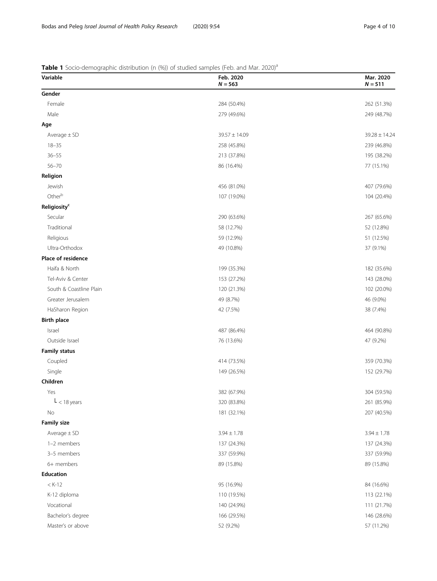## <span id="page-3-0"></span>Table 1 Socio-demographic distribution (n (%)) of studied samples (Feb. and Mar. 2020)<sup>a</sup>

| Variable                 | Feb. 2020<br>$N = 563$ | Mar. 2020<br>$N = 511$ |
|--------------------------|------------------------|------------------------|
| Gender                   |                        |                        |
| Female                   | 284 (50.4%)            | 262 (51.3%)            |
| Male                     | 279 (49.6%)            | 249 (48.7%)            |
| Age                      |                        |                        |
| Average $\pm$ SD         | $39.57 \pm 14.09$      | $39.28 \pm 14.24$      |
| $18 - 35$                | 258 (45.8%)            | 239 (46.8%)            |
| $36 - 55$                | 213 (37.8%)            | 195 (38.2%)            |
| $56 - 70$                | 86 (16.4%)             | 77 (15.1%)             |
| Religion                 |                        |                        |
| Jewish                   | 456 (81.0%)            | 407 (79.6%)            |
| Otherb                   | 107 (19.0%)            | 104 (20.4%)            |
| Religiosity <sup>c</sup> |                        |                        |
| Secular                  | 290 (63.6%)            | 267 (65.6%)            |
| Traditional              | 58 (12.7%)             | 52 (12.8%)             |
| Religious                | 59 (12.9%)             | 51 (12.5%)             |
| Ultra-Orthodox           | 49 (10.8%)             | 37 (9.1%)              |
| Place of residence       |                        |                        |
| Haifa & North            | 199 (35.3%)            | 182 (35.6%)            |
| Tel-Aviv & Center        | 153 (27.2%)            | 143 (28.0%)            |
| South & Coastline Plain  | 120 (21.3%)            | 102 (20.0%)            |
| Greater Jerusalem        | 49 (8.7%)              | 46 (9.0%)              |
| HaSharon Region          | 42 (7.5%)              | 38 (7.4%)              |
| <b>Birth place</b>       |                        |                        |
| Israel                   | 487 (86.4%)            | 464 (90.8%)            |
| Outside Israel           | 76 (13.6%)             | 47 (9.2%)              |
| <b>Family status</b>     |                        |                        |
| Coupled                  | 414 (73.5%)            | 359 (70.3%)            |
| Single                   | 149 (26.5%)            | 152 (29.7%)            |
| Children                 |                        |                        |
| Yes                      | 382 (67.9%)            | 304 (59.5%)            |
| $L < 18$ years           | 320 (83.8%)            | 261 (85.9%)            |
| No                       | 181 (32.1%)            | 207 (40.5%)            |
| <b>Family size</b>       |                        |                        |
| Average $\pm$ SD         | $3.94 \pm 1.78$        | $3.94 \pm 1.78$        |
| 1-2 members              | 137 (24.3%)            | 137 (24.3%)            |
| 3-5 members              | 337 (59.9%)            | 337 (59.9%)            |
| 6+ members               | 89 (15.8%)             | 89 (15.8%)             |
| <b>Education</b>         |                        |                        |
| $<$ K-12                 | 95 (16.9%)             | 84 (16.6%)             |
| K-12 diploma             | 110 (19.5%)            | 113 (22.1%)            |
| Vocational               | 140 (24.9%)            | 111 (21.7%)            |
| Bachelor's degree        | 166 (29.5%)            | 146 (28.6%)            |
| Master's or above        | 52 (9.2%)              | 57 (11.2%)             |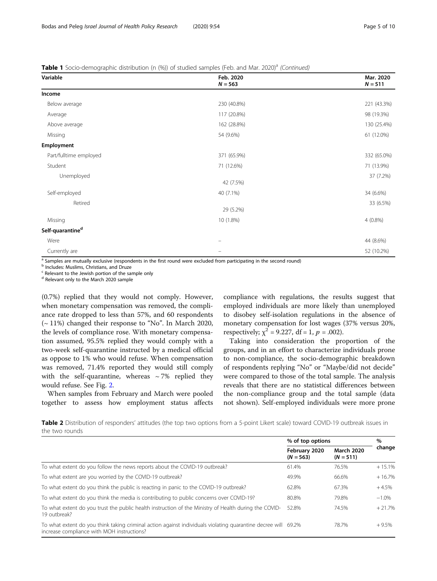<span id="page-4-0"></span>Table 1 Socio-demographic distribution (n (%)) of studied samples (Feb. and Mar. 2020)<sup>a</sup> (Continued)

| Variable                     | Feb. 2020<br>$N = 563$ | Mar. 2020<br>$N = 511$ |
|------------------------------|------------------------|------------------------|
| Income                       |                        |                        |
| Below average                | 230 (40.8%)            | 221 (43.3%)            |
| Average                      | 117 (20.8%)            | 98 (19.3%)             |
| Above average                | 162 (28.8%)            | 130 (25.4%)            |
| Missing                      | 54 (9.6%)              | 61 (12.0%)             |
| <b>Employment</b>            |                        |                        |
| Part/fulltime employed       | 371 (65.9%)            | 332 (65.0%)            |
| Student                      | 71 (12.6%)             | 71 (13.9%)             |
| Unemployed                   |                        | 37 (7.2%)              |
|                              | 42 (7.5%)              |                        |
| Self-employed                | 40 (7.1%)              | 34 (6.6%)              |
| Retired                      |                        | 33 (6.5%)              |
|                              | 29 (5.2%)              |                        |
| Missing                      | 10 (1.8%)              | $4(0.8\%)$             |
| Self-quarantine <sup>d</sup> |                        |                        |
| Were                         |                        | 44 (8.6%)              |
| Currently are                |                        | 52 (10.2%)             |

<sup>a</sup> Samples are mutually exclusive (respondents in the first round were excluded from participating in the second round)

**b** Includes: Muslims, Christians, and Druze

 $c$  Relevant to the Jewish portion of the sample only

<sup>d</sup> Relevant only to the March 2020 sample

(0.7%) replied that they would not comply. However, when monetary compensation was removed, the compliance rate dropped to less than 57%, and 60 respondents  $\sim$  11%) changed their response to "No". In March 2020, the levels of compliance rose. With monetary compensation assumed, 95.5% replied they would comply with a two-week self-quarantine instructed by a medical official as oppose to 1% who would refuse. When compensation was removed, 71.4% reported they would still comply with the self-quarantine, whereas  $\sim$  7% replied they would refuse. See Fig. [2](#page-6-0).

When samples from February and March were pooled together to assess how employment status affects compliance with regulations, the results suggest that employed individuals are more likely than unemployed to disobey self-isolation regulations in the absence of monetary compensation for lost wages (37% versus 20%, respectively;  $\chi^2$  = 9.227, df = 1,  $p$  = .002).

Taking into consideration the proportion of the groups, and in an effort to characterize individuals prone to non-compliance, the socio-demographic breakdown of respondents replying "No" or "Maybe/did not decide" were compared to those of the total sample. The analysis reveals that there are no statistical differences between the non-compliance group and the total sample (data not shown). Self-employed individuals were more prone

Table 2 Distribution of responders' attitudes (the top two options from a 5-point Likert scale) toward COVID-19 outbreak issues in the two rounds

|                                                                                                                                                             | % of top options             |                                  | $\%$     |
|-------------------------------------------------------------------------------------------------------------------------------------------------------------|------------------------------|----------------------------------|----------|
|                                                                                                                                                             | February 2020<br>$(N = 563)$ | <b>March 2020</b><br>$(N = 511)$ | change   |
| To what extent do you follow the news reports about the COVID-19 outbreak?                                                                                  | 61.4%                        | 76.5%                            | $+15.1%$ |
| To what extent are you worried by the COVID-19 outbreak?                                                                                                    | 49.9%                        | 66.6%                            | $+16.7%$ |
| To what extent do you think the public is reacting in panic to the COVID-19 outbreak?                                                                       | 62.8%                        | 67.3%                            | $+4.5%$  |
| To what extent do you think the media is contributing to public concerns over COVID-19?                                                                     | 80.8%                        | 79.8%                            | $-1.0%$  |
| To what extent do you trust the public health instruction of the Ministry of Health during the COVID-<br>19 outbreak?                                       | 52.8%                        | 74.5%                            | $+21.7%$ |
| To what extent do you think taking criminal action against individuals violating quarantine decree will 69.2%<br>increase compliance with MOH instructions? |                              | 78.7%                            | $+9.5%$  |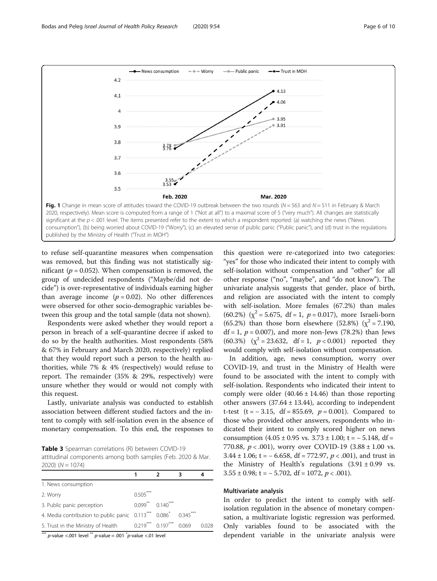<span id="page-5-0"></span>

published by the Ministry of Health ("Trust in MOH")

to refuse self-quarantine measures when compensation was removed, but this finding was not statistically significant ( $p = 0.052$ ). When compensation is removed, the group of undecided respondents ("Maybe/did not decide") is over-representative of individuals earning higher than average income  $(p = 0.02)$ . No other differences were observed for other socio-demographic variables between this group and the total sample (data not shown).

Respondents were asked whether they would report a person in breach of a self-quarantine decree if asked to do so by the health authorities. Most respondents (58% & 67% in February and March 2020, respectively) replied that they would report such a person to the health authorities, while 7% & 4% (respectively) would refuse to report. The remainder (35% & 29%, respectively) were unsure whether they would or would not comply with this request.

Lastly, univariate analysis was conducted to establish association between different studied factors and the intent to comply with self-isolation even in the absence of monetary compensation. To this end, the responses to

Table 3 Spearman correlations (R) between COVID-19 attitudinal components among both samples (Feb. 2020 & Mar.  $2020$ ) ( $N = 1074$ )

|                       | 3                                                                                   |                             |
|-----------------------|-------------------------------------------------------------------------------------|-----------------------------|
|                       |                                                                                     |                             |
| $0.505$ <sup>**</sup> |                                                                                     |                             |
|                       |                                                                                     |                             |
|                       | $0.345$ $\degree$                                                                   |                             |
|                       |                                                                                     | 0028                        |
|                       | $0.099^{**}$ $0.140^{***}$<br>4. Media contribution to public panic 0.113*** 0.086* | $0.219***$ $0.197***$ 0.069 |

\*\*\* p-value <.001 level \*\* p-value = .001  $\check{p}$ -value <.01 level

this question were re-categorized into two categories: "yes" for those who indicated their intent to comply with self-isolation without compensation and "other" for all other response ("no", "maybe", and "do not know"). The univariate analysis suggests that gender, place of birth, and religion are associated with the intent to comply with self-isolation. More females (67.2%) than males (60.2%) ( $\chi^2$  = 5.675, df = 1, p = 0.017), more Israeli-born (65.2%) than those born elsewhere (52.8%) ( $\chi^2$  = 7.190, df = 1,  $p = 0.007$ ), and more non-Jews (78.2%) than Jews (60.3%)  $(x^2 = 23.632, df = 1, p < 0.001)$  reported they would comply with self-isolation without compensation.

In addition, age, news consumption, worry over COVID-19, and trust in the Ministry of Health were found to be associated with the intent to comply with self-isolation. Respondents who indicated their intent to comply were older  $(40.46 \pm 14.46)$  than those reporting other answers  $(37.64 \pm 13.44)$ , according to independent t-test (t =  $-3.15$ , df = 855.69,  $p = 0.001$ ). Compared to those who provided other answers, respondents who indicated their intent to comply scored higher on news consumption  $(4.05 \pm 0.95 \text{ vs. } 3.73 \pm 1.00; t = -5.148, df =$ 770.88,  $p < .001$ ), worry over COVID-19 (3.88 ± 1.00 vs. 3.44 ± 1.06; t =  $-$  6.658, df = 772.97,  $p$  < .001), and trust in the Ministry of Health's regulations  $(3.91 \pm 0.99$  vs.  $3.55 \pm 0.98$ ; t =  $-5.702$ , df = 1072, p < .001).

#### Multivariate analysis

In order to predict the intent to comply with selfisolation regulation in the absence of monetary compensation, a multivariate logistic regression was performed. Only variables found to be associated with the dependent variable in the univariate analysis were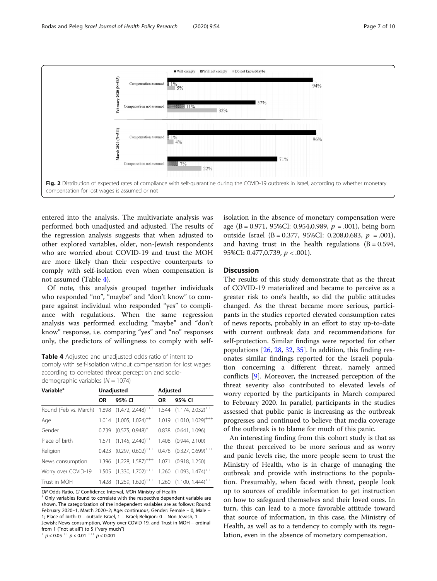<span id="page-6-0"></span>

entered into the analysis. The multivariate analysis was performed both unadjusted and adjusted. The results of the regression analysis suggests that when adjusted to other explored variables, older, non-Jewish respondents who are worried about COVID-19 and trust the MOH are more likely than their respective counterparts to comply with self-isolation even when compensation is not assumed (Table 4).

Of note, this analysis grouped together individuals who responded "no", "maybe" and "don't know" to compare against individual who responded "yes" to compliance with regulations. When the same regression analysis was performed excluding "maybe" and "don't know" response, i.e. comparing "yes" and "no" responses only, the predictors of willingness to comply with self-

Table 4 Adjusted and unadjusted odds-ratio of intent to comply with self-isolation without compensation for lost wages according to correlated threat perception and sociodemographic variables  $(N = 1074)$ 

| Variable <sup>a</sup> | Unadjusted |                                                            | Adjusted |                                |
|-----------------------|------------|------------------------------------------------------------|----------|--------------------------------|
|                       | OR.        | 95% CI                                                     | 0R       | 95% CI                         |
| Round (Feb vs. March) |            | $1.898$ $(1.472, 2.448)^{+++}$                             |          | $1.544$ $(1.174, 2.032)^{++}$  |
| Age                   |            | $1.014$ $(1.005, 1.024)^{++}$                              |          | $1.019$ $(1.010, 1.029)^{+++}$ |
| Gender                |            | $0.739$ $(0.575, 0.948)^+$                                 |          | 0.838 (0.641, 1.096)           |
| Place of birth        |            | $1.671$ $(1.145, 2.440)^{++}$                              |          | 1.408 (0.944, 2.100)           |
| Religion              |            | $0.423$ $(0.297, 0.602)^{+++}$                             |          | $0.478$ $(0.327, 0.699)^{+++}$ |
| News consumption      |            | $1.396$ $(1.228, 1.587)^{+++}$                             |          | 1.071 (0.918, 1.250)           |
| Worry over COVID-19   |            | $1.505$ $(1.330, 1.702)^{+++}$ 1.260 $(1.093, 1.474)^{++}$ |          |                                |
| Trust in MOH          |            | $1.428$ $(1.259, 1.620)^{+++}$ 1.260 $(1.100, 1.444)^{++}$ |          |                                |

OR Odds Ratio, CI Confidence Interval, MOH Ministry of Health<br><sup>a</sup> Only variables found to correlate with the respective dependent variable are shown. The categorization of the independent variables are as follows: Round: February 2020–1, March 2020–2; Age: continuous; Gender: Female – 0, Male – 1; Place of birth: 0 – outside Israel, 1 – Israel; Religion: 0 – Non-Jewish, 1 – Jewish; News consumption, Worry over COVID-19, and Trust in MOH – ordinal from 1 ("not at all") to 5 ("very much")<br>  $+ p < 0.05 + p < 0.01 + + p < 0.001$ 

isolation in the absence of monetary compensation were age (B = 0.971, 95%CI: 0.954,0.989,  $p = .001$ ), being born outside Israel (B = 0.377, 95%CI: 0.208,0.683,  $p = .001$ ), and having trust in the health regulations  $(B = 0.594,$ 95%CI: 0.477,0.739,  $p < .001$ ).

### **Discussion**

The results of this study demonstrate that as the threat of COVID-19 materialized and became to perceive as a greater risk to one's health, so did the public attitudes changed. As the threat became more serious, participants in the studies reported elevated consumption rates of news reports, probably in an effort to stay up-to-date with current outbreak data and recommendations for self-protection. Similar findings were reported for other populations [[26,](#page-8-0) [28,](#page-8-0) [32,](#page-8-0) [35](#page-8-0)]. In addition, this finding resonates similar findings reported for the Israeli population concerning a different threat, namely armed conflicts [\[9](#page-8-0)]. Moreover, the increased perception of the threat severity also contributed to elevated levels of worry reported by the participants in March compared to February 2020. In parallel, participants in the studies assessed that public panic is increasing as the outbreak progresses and continued to believe that media coverage of the outbreak is to blame for much of this panic.

An interesting finding from this cohort study is that as the threat perceived to be more serious and as worry and panic levels rise, the more people seem to trust the Ministry of Health, who is in charge of managing the outbreak and provide with instructions to the population. Presumably, when faced with threat, people look up to sources of credible information to get instruction on how to safeguard themselves and their loved ones. In turn, this can lead to a more favorable attitude toward that source of information, in this case, the Ministry of Health, as well as to a tendency to comply with its regulation, even in the absence of monetary compensation.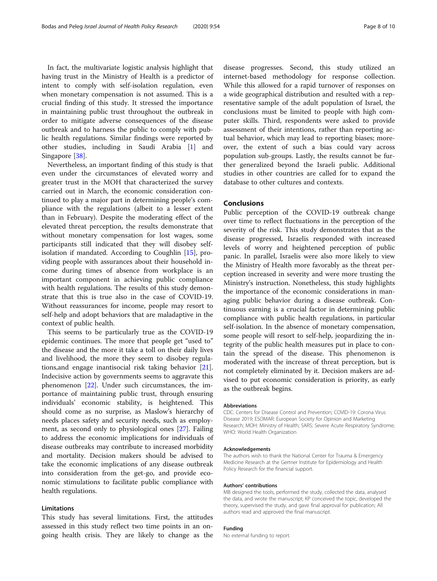In fact, the multivariate logistic analysis highlight that having trust in the Ministry of Health is a predictor of intent to comply with self-isolation regulation, even when monetary compensation is not assumed. This is a crucial finding of this study. It stressed the importance in maintaining public trust throughout the outbreak in order to mitigate adverse consequences of the disease outbreak and to harness the public to comply with public health regulations. Similar findings were reported by other studies, including in Saudi Arabia [[1\]](#page-8-0) and Singapore [\[38](#page-9-0)].

Nevertheless, an important finding of this study is that even under the circumstances of elevated worry and greater trust in the MOH that characterized the survey carried out in March, the economic consideration continued to play a major part in determining people's compliance with the regulations (albeit to a lesser extent than in February). Despite the moderating effect of the elevated threat perception, the results demonstrate that without monetary compensation for lost wages, some participants still indicated that they will disobey selfisolation if mandated. According to Coughlin [[15\]](#page-8-0), providing people with assurances about their household income during times of absence from workplace is an important component in achieving public compliance with health regulations. The results of this study demonstrate that this is true also in the case of COVID-19. Without reassurances for income, people may resort to self-help and adopt behaviors that are maladaptive in the context of public health.

This seems to be particularly true as the COVID-19 epidemic continues. The more that people get "used to" the disease and the more it take a toll on their daily lives and livelihood, the more they seem to disobey regulations,and engage inantisocial risk taking behavior [\[21](#page-8-0)]. Indecisive action by governments seems to aggravate this phenomenon [[22\]](#page-8-0). Under such circumstances, the importance of maintaining public trust, through ensuring individuals' economic stability, is heightened. This should come as no surprise, as Maslow's hierarchy of needs places safety and security needs, such as employment, as second only to physiological ones [\[27\]](#page-8-0). Failing to address the economic implications for individuals of disease outbreaks may contribute to increased morbidity and mortality. Decision makers should be advised to take the economic implications of any disease outbreak into consideration from the get-go, and provide economic stimulations to facilitate public compliance with health regulations.

### Limitations

This study has several limitations. First, the attitudes assessed in this study reflect two time points in an ongoing health crisis. They are likely to change as the

disease progresses. Second, this study utilized an internet-based methodology for response collection. While this allowed for a rapid turnover of responses on a wide geographical distribution and resulted with a representative sample of the adult population of Israel, the conclusions must be limited to people with high computer skills. Third, respondents were asked to provide assessment of their intentions, rather than reporting actual behavior, which may lead to reporting biases; moreover, the extent of such a bias could vary across population sub-groups. Lastly, the results cannot be further generalized beyond the Israeli public. Additional studies in other countries are called for to expand the database to other cultures and contexts.

### Conclusions

Public perception of the COVID-19 outbreak change over time to reflect fluctuations in the perception of the severity of the risk. This study demonstrates that as the disease progressed, Israelis responded with increased levels of worry and heightened perception of public panic. In parallel, Israelis were also more likely to view the Ministry of Health more favorably as the threat perception increased in severity and were more trusting the Ministry's instruction. Nonetheless, this study highlights the importance of the economic considerations in managing public behavior during a disease outbreak. Continuous earning is a crucial factor in determining public compliance with public health regulations, in particular self-isolation. In the absence of monetary compensation, some people will resort to self-help, jeopardizing the integrity of the public health measures put in place to contain the spread of the disease. This phenomenon is moderated with the increase of threat perception, but is not completely eliminated by it. Decision makers are advised to put economic consideration is priority, as early as the outbreak begins.

#### Abbreviations

CDC: Centers for Disease Control and Prevention; COVID-19: Corona Virus Disease 2019; ESOMAR: European Society for Opinion and Marketing Research; MOH: Ministry of Health; SARS: Severe Acute Respiratory Syndrome; WHO: World Health Organization

#### Acknowledgements

The authors wish to thank the National Center for Trauma & Emergency Medicine Research at the Gertner Institute for Epidemiology and Health Policy Research for the financial support.

#### Authors' contributions

MB designed the tools, performed the study, collected the data, analysed the data, and wrote the manuscript; KP conceived the topic, developed the theory, supervised the study, and gave final approval for publication; All authors read and approved the final manuscript.

#### Funding

No external funding to report.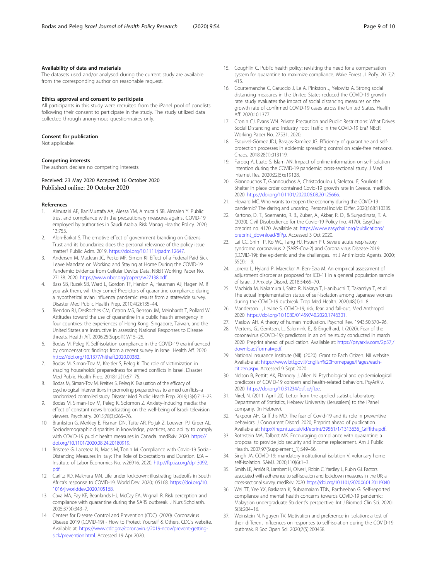### <span id="page-8-0"></span>Availability of data and materials

The datasets used and/or analysed during the current study are available from the corresponding author on reasonable request.

#### Ethics approval and consent to participate

All participants in this study were recruited from the iPanel pool of panelists following their consent to participate in the study. The study utilized data collected through anonymous questionnaires only.

#### Consent for publication

Not applicable.

#### Competing interests

The authors declare no competing interests.

Received: 23 May 2020 Accepted: 16 October 2020 Published online: 20 October 2020

#### References

- 1. Almutairi AF, BaniMustafa AA, Alessa YM, Almutairi SB, Almaleh Y. Public trust and compliance with the precautionary measures against COVID-19 employed by authorities in Saudi Arabia. Risk Manag Healthc Policy. 2020; 13:753.
- 2. Alon-Barkat S. The emotive effect of government branding on Citizens' Trust and its boundaries: does the personal relevance of the policy issue matter? Public Adm. 2019. [https://doi.org/10.1111/padm.12647.](https://doi.org/10.1111/padm.12647)
- 3. Andersen M, Maclean JC, Pesko MF, Simon KI. Effect of a Federal Paid Sick Leave Mandate on Working and Staying at Home During the COVID-19 Pandemic: Evidence from Cellular Device Data. NBER Working Paper No. 27138. 2020. <https://www.nber.org/papers/w27138.pdf>.
- 4. Bass SB, Ruzek SB, Ward L, Gordon TF, Hanlon A, Hausman AJ, Hagen M. If you ask them, will they come? Predictors of quarantine compliance during a hypothetical avian influenza pandemic: results from a statewide survey. Disaster Med Public Health Prep. 2010;4(2):135–44.
- 5. Blendon RJ, DesRoches CM, Cetron MS, Benson JM, Meinhardt T, Pollard W. Attitudes toward the use of quarantine in a public health emergency in four countries: the experiences of Hong Kong, Singapore, Taiwan, and the United States are instructive in assessing National Responses to Disease threats. Health Aff. 2006;25(Suppl1):W15–25.
- 6. Bodas M, Peleg K. Self-isolation compliance in the COVID-19 era influenced by compensation: findings from a recent survey in Israel. Health Aff. 2020. <https://doi.org/10.1377/hlthaff.2020.00382>.
- 7. Bodas M, Siman-Tov M, Kreitler S, Peleg K. The role of victimization in shaping households' preparedness for armed conflicts in Israel. Disaster Med Public Health Prep. 2018;12(1):67–75.
- 8. Bodas M, Siman-Tov M, Kreitler S, Peleg K. Evaluation of the efficacy of psychological interventions in promoting preparedness to armed conflicts–a randomized controlled study. Disaster Med Public Health Prep. 2019;13(4):713–23.
- 9. Bodas M, Siman-Tov M, Peleg K, Solomon Z. Anxiety-inducing media: the effect of constant news broadcasting on the well-being of Israeli television viewers. Psychiatry. 2015;78(3):265–76.
- 10. Brankston G, Merkley E, Fisman DN, Tuite AR, Poljak Z, Loewen PJ, Greer AL. Sociodemographic disparities in knowledge, practices, and ability to comply with COVID-19 public health measures in Canada. medRxiv. 2020. [https://](https://doi.org/10.1101/2020.08.24.20180919) [doi.org/10.1101/2020.08.24.20180919](https://doi.org/10.1101/2020.08.24.20180919).
- 11. Briscese G, Lacetera N, Macis M, Tonin M. Compliance with Covid-19 Social-Distancing Measures in Italy: The Role of Expectations and Duration. IZA – Institute of Labor Economics No. w26916. 2020. [http://ftp.iza.org/dp13092.](http://ftp.iza.org/dp13092.pdf) [pdf](http://ftp.iza.org/dp13092.pdf).
- 12. Carlitz RD, Makhura MN. Life under lockdown: illustrating tradeoffs in South Africa's response to COVID-19. World Dev. 2020;105168. [https://doi.org/10.](https://doi.org/10.1016/j.worlddev.2020.105168) [1016/j.worlddev.2020.105168.](https://doi.org/10.1016/j.worlddev.2020.105168)
- 13. Cava MA, Fay KE, Beanlands HJ, McCay EA, Wignall R. Risk perception and compliance with quarantine during the SARS outbreak. J Nurs Scholarsh. 2005;37(4):343–7.
- 14. Centers for Disease Control and Prevention (CDC). (2020). Coronavirus Disease 2019 (COVID-19) - How to Protect Yourself & Others. CDC's website. Available at: [https://www.cdc.gov/coronavirus/2019-ncov/prevent-getting](https://www.cdc.gov/coronavirus/2019-ncov/prevent-getting-sick/prevention.html)[sick/prevention.html.](https://www.cdc.gov/coronavirus/2019-ncov/prevent-getting-sick/prevention.html) Accessed 19 Apr 2020.
- 15. Coughlin C. Public health policy: revisiting the need for a compensation system for quarantine to maximize compliance. Wake Forest JL Pol'y. 2017;7: 415.
- 16. Courtemanche C, Garuccio J, Le A, Pinkston J, Yelowitz A. Strong social distancing measures in the United States reduced the COVID-19 growth rate: study evaluates the impact of social distancing measures on the growth rate of confirmed COVID-19 cases across the United States. Health Aff. 2020;10:1377.
- 17. Cronin CJ, Evans WN. Private Precaution and Public Restrictions: What Drives Social Distancing and Industry Foot Traffic in the COVID-19 Era? NBER Working Paper No. 27531. 2020.
- 18. Esquivel-Gómez JDJ, Barajas-Ramírez JG. Efficiency of quarantine and selfprotection processes in epidemic spreading control on scale-free networks. Chaos. 2018;28(1):013119.
- 19. Farooq A, Laato S, Islam AN. Impact of online information on self-isolation intention during the COVID-19 pandemic: cross-sectional study. J Med Internet Res. 2020;22(5):e19128.
- 20. Giannouchos T, Giannouchos A, Christodoulou I, Steletou E, Souliotis K. Shelter in place order contained Covid-19 growth rate in Greece. medRxiv. 2020. <https://doi.org/10.1101/2020.06.08.20125666>.
- 21. Howard MC. Who wants to reopen the economy during the COVID-19 pandemic? The daring and uncaring. Personal Individ Differ. 2020;168:110335.
- 22. Kartono, D. T., Soemanto, R. B., Zuber, A., Akbar, R. D., & Suryadinata, T. A. (2020). Civil Disobedience for the Covid-19 Policy (no. 4170). EasyChair preprint no. 4170. Available at: [https://wvvw.easychair.org/publications/](https://wvvw.easychair.org/publications/preprint_download/8fPp) [preprint\\_download/8fPp.](https://wvvw.easychair.org/publications/preprint_download/8fPp) Accessed 3 Oct 2020.
- 23. Lai CC, Shih TP, Ko WC, Tang HJ, Hsueh PR, Severe acute respiratory syndrome coronavirus 2 (SARS-Cov-2) and Corona virus Disease-2019 (COVID-19): the epidemic and the challenges. Int J Antimicrob Agents. 2020; 55(3):1–9.
- 24. Lorenz L, Hyland P, Maercker A, Ben-Ezra M. An empirical assessment of adjustment disorder as proposed for ICD-11 in a general population sample of Israel. J Anxiety Disord. 2018;54:65–70.
- 25. Machida M, Nakamura I, Saito R, Nakaya T, Hanibuchi T, Takamiya T, et al. The actual implementation status of self-isolation among Japanese workers during the COVID-19 outbreak. Trop Med Health. 2020;48(1):1–8.
- 26. Manderson L, Levine S. COVID-19, risk, fear, and fall-out. Med Anthropol. 2020. <https://doi.org/10.1080/01459740.2020.1746301>.
- 27. Maslow AH. A theory of human motivation. Psychol Rev. 1943;50:370–96.
- 28. Mertens, G., Gerritsen, L., Salemink, E., & Engelhard, I. (2020). Fear of the coronavirus (COVID-19): predictors in an online study conducted in march 2020. Preprint ahead of publication. Available at: [https://psyarxiv.com/2p57j/](https://psyarxiv.com/2p57j/download?format=pdf) [download?format=pdf.](https://psyarxiv.com/2p57j/download?format=pdf)
- 29. National Insurance Institute (NII). (2020). Grant to Each Citizen. NII website. Available at: [https://www.btl.gov.il/English%20Homepage/Pages/each](https://www.btl.gov.il/English%20Homepage/Pages/each-citizen.aspx)[citizen.aspx.](https://www.btl.gov.il/English%20Homepage/Pages/each-citizen.aspx) Accessed 9 Sept 2020.
- 30. Nelson B, Pettitt AK, Flannery J, Allen N. Psychological and epidemiological predictors of COVID-19 concern and health-related behaviors. PsyArXiv. 2020. <https://doi.org/10.31234/osf.io/jftze>.
- 31. Nirel, N. (2011, April 20). Letter from the applied statistic laboratory, Department of Statistics, Hebrew University (Jerusalem) to the iPanel company. (In Hebrew).
- 32. Pakpour AH, Griffiths MD. The fear of Covid-19 and its role in preventive behaviors. J Concurrent Disord. 2020; Preprint ahead of publication. Available at: [http://irep.ntu.ac.uk/id/eprint/39561/1/1313636\\_Griffiths.pdf.](http://irep.ntu.ac.uk/id/eprint/39561/1/1313636_Griffiths.pdf)
- 33. Rothstein MA, Talbott MK. Encouraging compliance with quarantine: a proposal to provide job security and income replacement. Am J Public Health. 2007;97(Supplement\_1):S49–56.
- 34. Singh JA. COVID-19: mandatory institutional isolation V. voluntary home self-isolation. SAMJ. 2020;110(6):1–3.
- 35. Smith LE, Amlôt R, Lambert H, Oliver I, Robin C, Yardley L, Rubin GJ. Factors associated with adherence to self-isolation and lockdown measures in the UK; a cross-sectional survey. medRxiv. 2020. <https://doi.org/10.1101/2020.06.01.20119040>.
- 36. Wei TT, Yee YX, Baskaran K, Subramaiam TDN, Partheeban G. Self-reported compliance and mental health concerns towards COVID-19 pandemic: Malaysian undergraduate Student's perspective. Int J Biomed Clin Sci. 2020; 5(3):204–16.
- 37. Weinstein N, Nguyen TV. Motivation and preference in isolation: a test of their different influences on responses to self-isolation during the COVID-19 outbreak. R Soc Open Sci. 2020;7(5):200458.